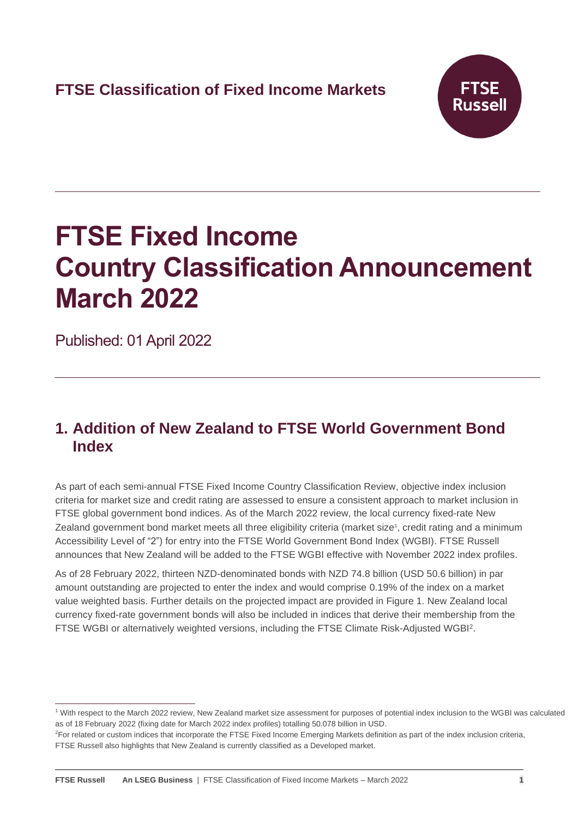

# **FTSE Fixed Income Country Classification Announcement March 2022**

Published: 01 April 2022

## **1. Addition of New Zealand to FTSE World Government Bond Index**

As part of each semi-annual FTSE Fixed Income Country Classification Review, objective index inclusion criteria for market size and credit rating are assessed to ensure a consistent approach to market inclusion in FTSE global government bond indices. As of the March 2022 review, the local currency fixed-rate New Zealand government bond market meets all three eligibility criteria (market size<sup>1</sup>, credit rating and a minimum Accessibility Level of "2") for entry into the FTSE World Government Bond Index (WGBI). FTSE Russell announces that New Zealand will be added to the FTSE WGBI effective with November 2022 index profiles.

As of 28 February 2022, thirteen NZD-denominated bonds with NZD 74.8 billion (USD 50.6 billion) in par amount outstanding are projected to enter the index and would comprise 0.19% of the index on a market value weighted basis. Further details on the projected impact are provided in Figure 1. New Zealand local currency fixed-rate government bonds will also be included in indices that derive their membership from the FTSE WGBI or alternatively weighted versions, including the FTSE Climate Risk-Adjusted WGBI<sup>2</sup> .

<sup>1</sup> With respect to the March 2022 review, New Zealand market size assessment for purposes of potential index inclusion to the WGBI was calculated as of 18 February 2022 (fixing date for March 2022 index profiles) totalling 50.078 billion in USD.

<sup>&</sup>lt;sup>2</sup>For related or custom indices that incorporate the FTSE Fixed Income Emerging Markets definition as part of the index inclusion criteria, FTSE Russell also highlights that New Zealand is currently classified as a Developed market.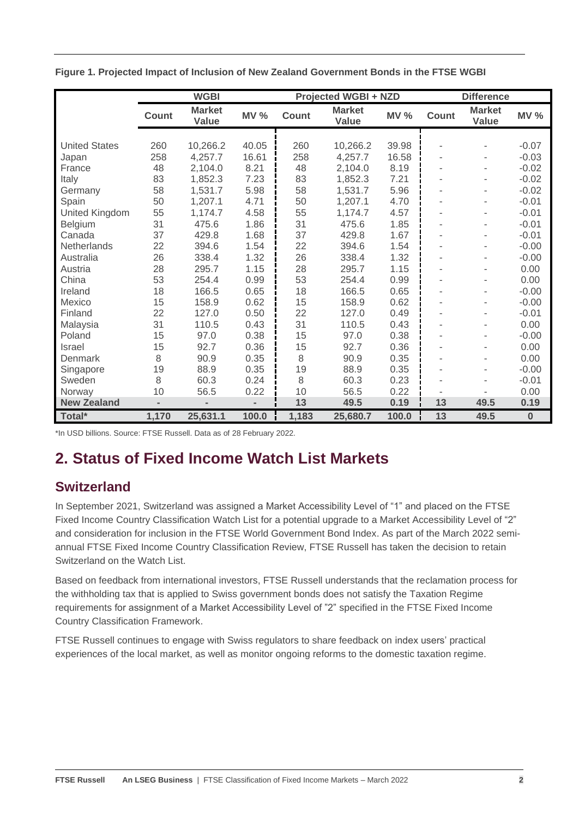|                      | <b>WGBI</b> |                               |                | <b>Projected WGBI + NZD</b> |                        |             | <b>Difference</b>        |                        |          |
|----------------------|-------------|-------------------------------|----------------|-----------------------------|------------------------|-------------|--------------------------|------------------------|----------|
|                      | Count       | <b>Market</b><br><b>Value</b> | <b>MV %</b>    | <b>Count</b>                | <b>Market</b><br>Value | <b>MV %</b> | <b>Count</b>             | <b>Market</b><br>Value | MV%      |
|                      |             |                               |                |                             |                        |             |                          |                        |          |
| <b>United States</b> | 260         | 10,266.2                      | 40.05          | 260                         | 10,266.2               | 39.98       |                          |                        | $-0.07$  |
| Japan                | 258         | 4,257.7                       | 16.61          | 258                         | 4,257.7                | 16.58       |                          |                        | $-0.03$  |
| France               | 48          | 2,104.0                       | 8.21           | 48                          | 2,104.0                | 8.19        |                          |                        | $-0.02$  |
| Italy                | 83          | 1,852.3                       | 7.23           | 83                          | 1,852.3                | 7.21        |                          |                        | $-0.02$  |
| Germany              | 58          | 1,531.7                       | 5.98           | 58                          | 1,531.7                | 5.96        |                          |                        | $-0.02$  |
| Spain                | 50          | 1,207.1                       | 4.71           | 50                          | 1,207.1                | 4.70        |                          |                        | $-0.01$  |
| United Kingdom       | 55          | 1,174.7                       | 4.58           | 55                          | 1,174.7                | 4.57        |                          |                        | $-0.01$  |
| Belgium              | 31          | 475.6                         | 1.86           | 31                          | 475.6                  | 1.85        | $\overline{\phantom{a}}$ |                        | $-0.01$  |
| Canada               | 37          | 429.8                         | 1.68           | 37                          | 429.8                  | 1.67        |                          |                        | $-0.01$  |
| Netherlands          | 22          | 394.6                         | 1.54           | 22                          | 394.6                  | 1.54        | $\overline{\phantom{a}}$ |                        | $-0.00$  |
| Australia            | 26          | 338.4                         | 1.32           | 26                          | 338.4                  | 1.32        |                          |                        | $-0.00$  |
| Austria              | 28          | 295.7                         | 1.15           | 28                          | 295.7                  | 1.15        | ٠                        |                        | 0.00     |
| China                | 53          | 254.4                         | 0.99           | 53                          | 254.4                  | 0.99        |                          |                        | 0.00     |
| Ireland              | 18          | 166.5                         | 0.65           | 18                          | 166.5                  | 0.65        | $\overline{\phantom{a}}$ |                        | $-0.00$  |
| Mexico               | 15          | 158.9                         | 0.62           | 15                          | 158.9                  | 0.62        |                          |                        | $-0.00$  |
| Finland              | 22          | 127.0                         | 0.50           | 22                          | 127.0                  | 0.49        |                          |                        | $-0.01$  |
| Malaysia             | 31          | 110.5                         | 0.43           | 31                          | 110.5                  | 0.43        |                          |                        | 0.00     |
| Poland               | 15          | 97.0                          | 0.38           | 15                          | 97.0                   | 0.38        |                          |                        | $-0.00$  |
| <b>Israel</b>        | 15          | 92.7                          | 0.36           | 15                          | 92.7                   | 0.36        |                          |                        | 0.00     |
| Denmark              | 8           | 90.9                          | 0.35           | 8                           | 90.9                   | 0.35        |                          |                        | 0.00     |
| Singapore            | 19          | 88.9                          | 0.35           | 19                          | 88.9                   | 0.35        |                          |                        | $-0.00$  |
| Sweden               | 8           | 60.3                          | 0.24           | 8                           | 60.3                   | 0.23        |                          |                        | $-0.01$  |
| Norway               | 10          | 56.5                          | 0.22           | 10                          | 56.5                   | 0.22        |                          |                        | 0.00     |
| <b>New Zealand</b>   |             |                               | $\blacksquare$ | 13                          | 49.5                   | 0.19        | 13                       | 49.5                   | 0.19     |
| Total*               | 1,170       | 25,631.1                      | 100.0          | 1,183                       | 25,680.7               | 100.0       | 13                       | 49.5                   | $\bf{0}$ |

**Figure 1. Projected Impact of Inclusion of New Zealand Government Bonds in the FTSE WGBI**

\*In USD billions. Source: FTSE Russell. Data as of 28 February 2022.

# **2. Status of Fixed Income Watch List Markets**

## **Switzerland**

In September 2021, Switzerland was assigned a Market Accessibility Level of "1" and placed on the FTSE Fixed Income Country Classification Watch List for a potential upgrade to a Market Accessibility Level of "2" and consideration for inclusion in the FTSE World Government Bond Index. As part of the March 2022 semiannual FTSE Fixed Income Country Classification Review, FTSE Russell has taken the decision to retain Switzerland on the Watch List.

Based on feedback from international investors, FTSE Russell understands that the reclamation process for the withholding tax that is applied to Swiss government bonds does not satisfy the Taxation Regime requirements for assignment of a Market Accessibility Level of "2" specified in the FTSE Fixed Income Country Classification Framework.

FTSE Russell continues to engage with Swiss regulators to share feedback on index users' practical experiences of the local market, as well as monitor ongoing reforms to the domestic taxation regime.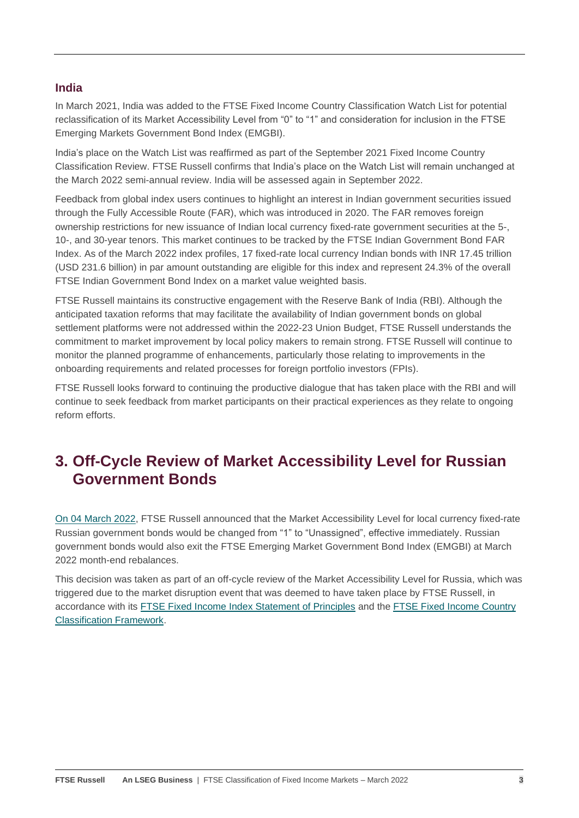## **India**

In March 2021, India was added to the FTSE Fixed Income Country Classification Watch List for potential reclassification of its Market Accessibility Level from "0" to "1" and consideration for inclusion in the FTSE Emerging Markets Government Bond Index (EMGBI).

India's place on the Watch List was reaffirmed as part of the September 2021 Fixed Income Country Classification Review. FTSE Russell confirms that India's place on the Watch List will remain unchanged at the March 2022 semi-annual review. India will be assessed again in September 2022.

Feedback from global index users continues to highlight an interest in Indian government securities issued through the Fully Accessible Route (FAR), which was introduced in 2020. The FAR removes foreign ownership restrictions for new issuance of Indian local currency fixed-rate government securities at the 5-, 10-, and 30-year tenors. This market continues to be tracked by the FTSE Indian Government Bond FAR Index. As of the March 2022 index profiles, 17 fixed-rate local currency Indian bonds with INR 17.45 trillion (USD 231.6 billion) in par amount outstanding are eligible for this index and represent 24.3% of the overall FTSE Indian Government Bond Index on a market value weighted basis.

FTSE Russell maintains its constructive engagement with the Reserve Bank of India (RBI). Although the anticipated taxation reforms that may facilitate the availability of Indian government bonds on global settlement platforms were not addressed within the 2022-23 Union Budget, FTSE Russell understands the commitment to market improvement by local policy makers to remain strong. FTSE Russell will continue to monitor the planned programme of enhancements, particularly those relating to improvements in the onboarding requirements and related processes for foreign portfolio investors (FPIs).

FTSE Russell looks forward to continuing the productive dialogue that has taken place with the RBI and will continue to seek feedback from market participants on their practical experiences as they relate to ongoing reform efforts.

## **3. Off-Cycle Review of Market Accessibility Level for Russian Government Bonds**

[On 04 March 2022,](https://research.ftserussell.com/products/index-notices/home/getnotice/?id=2603615) FTSE Russell announced that the Market Accessibility Level for local currency fixed-rate Russian government bonds would be changed from "1" to "Unassigned", effective immediately. Russian government bonds would also exit the FTSE Emerging Market Government Bond Index (EMGBI) at March 2022 month-end rebalances.

This decision was taken as part of an off-cycle review of the Market Accessibility Level for Russia, which was triggered due to the market disruption event that was deemed to have taken place by FTSE Russell, in accordance with its [FTSE Fixed Income Index Statement of Principles](https://research.ftserussell.com/products/downloads/Statement_of_Principles_Fixed_Income_Indexes.pdf) and the [FTSE Fixed Income Country](https://research.ftserussell.com/products/downloads/FTSE_Fixed_Income_Country_Classification_Process.pdf)  [Classification Framework.](https://research.ftserussell.com/products/downloads/FTSE_Fixed_Income_Country_Classification_Process.pdf)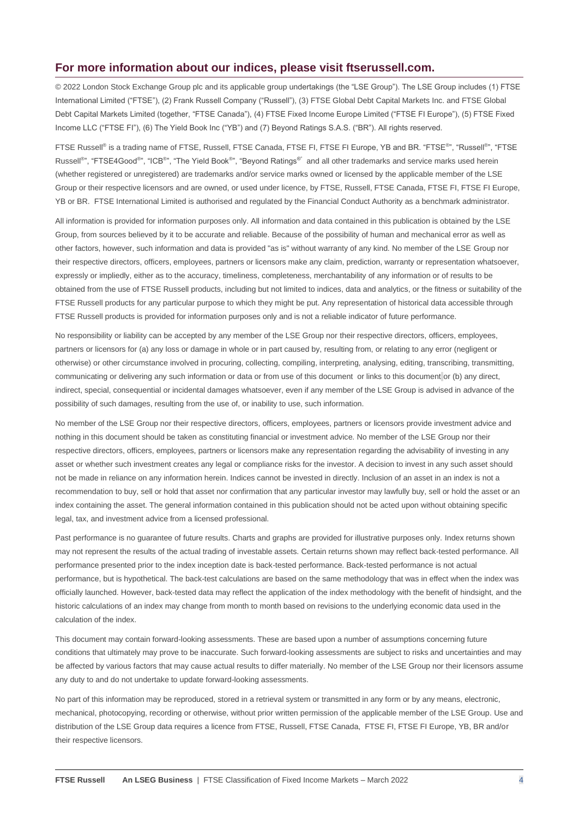#### **For more information about our indices, please visit ftserussell.com.**

© 2022 London Stock Exchange Group plc and its applicable group undertakings (the "LSE Group"). The LSE Group includes (1) FTSE International Limited ("FTSE"), (2) Frank Russell Company ("Russell"), (3) FTSE Global Debt Capital Markets Inc. and FTSE Global Debt Capital Markets Limited (together, "FTSE Canada"), (4) FTSE Fixed Income Europe Limited ("FTSE FI Europe"), (5) FTSE Fixed Income LLC ("FTSE FI"), (6) The Yield Book Inc ("YB") and (7) Beyond Ratings S.A.S. ("BR"). All rights reserved.

FTSE Russell® is a trading name of FTSE, Russell, FTSE Canada, FTSE FI, FTSE FI Europe, YB and BR. "FTSE®", "Russell®", "FTSE Russell<sup>®</sup>", "FTSE4Good®", "ICB<sup>®</sup>", "The Yield Book®", "Beyond Ratings<sup>®"</sup> and all other trademarks and service marks used herein (whether registered or unregistered) are trademarks and/or service marks owned or licensed by the applicable member of the LSE Group or their respective licensors and are owned, or used under licence, by FTSE, Russell, FTSE Canada, FTSE FI, FTSE FI Europe, YB or BR. FTSE International Limited is authorised and regulated by the Financial Conduct Authority as a benchmark administrator.

All information is provided for information purposes only. All information and data contained in this publication is obtained by the LSE Group, from sources believed by it to be accurate and reliable. Because of the possibility of human and mechanical error as well as other factors, however, such information and data is provided "as is" without warranty of any kind. No member of the LSE Group nor their respective directors, officers, employees, partners or licensors make any claim, prediction, warranty or representation whatsoever, expressly or impliedly, either as to the accuracy, timeliness, completeness, merchantability of any information or of results to be obtained from the use of FTSE Russell products, including but not limited to indices, data and analytics, or the fitness or suitability of the FTSE Russell products for any particular purpose to which they might be put. Any representation of historical data accessible through FTSE Russell products is provided for information purposes only and is not a reliable indicator of future performance.

No responsibility or liability can be accepted by any member of the LSE Group nor their respective directors, officers, employees, partners or licensors for (a) any loss or damage in whole or in part caused by, resulting from, or relating to any error (negligent or otherwise) or other circumstance involved in procuring, collecting, compiling, interpreting, analysing, editing, transcribing, transmitting, communicating or delivering any such information or data or from use of this document or links to this document or (b) any direct, indirect, special, consequential or incidental damages whatsoever, even if any member of the LSE Group is advised in advance of the possibility of such damages, resulting from the use of, or inability to use, such information.

No member of the LSE Group nor their respective directors, officers, employees, partners or licensors provide investment advice and nothing in this document should be taken as constituting financial or investment advice. No member of the LSE Group nor their respective directors, officers, employees, partners or licensors make any representation regarding the advisability of investing in any asset or whether such investment creates any legal or compliance risks for the investor. A decision to invest in any such asset should not be made in reliance on any information herein. Indices cannot be invested in directly. Inclusion of an asset in an index is not a recommendation to buy, sell or hold that asset nor confirmation that any particular investor may lawfully buy, sell or hold the asset or an index containing the asset. The general information contained in this publication should not be acted upon without obtaining specific legal, tax, and investment advice from a licensed professional.

Past performance is no guarantee of future results. Charts and graphs are provided for illustrative purposes only. Index returns shown may not represent the results of the actual trading of investable assets. Certain returns shown may reflect back-tested performance. All performance presented prior to the index inception date is back-tested performance. Back-tested performance is not actual performance, but is hypothetical. The back-test calculations are based on the same methodology that was in effect when the index was officially launched. However, back-tested data may reflect the application of the index methodology with the benefit of hindsight, and the historic calculations of an index may change from month to month based on revisions to the underlying economic data used in the calculation of the index.

This document may contain forward-looking assessments. These are based upon a number of assumptions concerning future conditions that ultimately may prove to be inaccurate. Such forward-looking assessments are subject to risks and uncertainties and may be affected by various factors that may cause actual results to differ materially. No member of the LSE Group nor their licensors assume any duty to and do not undertake to update forward-looking assessments.

No part of this information may be reproduced, stored in a retrieval system or transmitted in any form or by any means, electronic, mechanical, photocopying, recording or otherwise, without prior written permission of the applicable member of the LSE Group. Use and distribution of the LSE Group data requires a licence from FTSE, Russell, FTSE Canada, FTSE FI, FTSE FI Europe, YB, BR and/or their respective licensors.